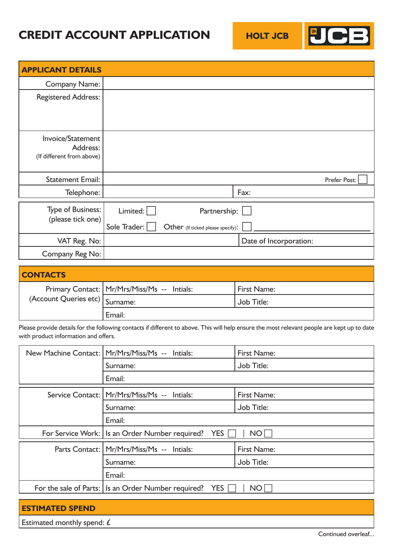# **CREDIT ACCOUNT APPLICATION**



| <b>APPLICANT DETAILS</b>                                   |                          |                                                   |                        |              |
|------------------------------------------------------------|--------------------------|---------------------------------------------------|------------------------|--------------|
| <b>Company Name:</b>                                       |                          |                                                   |                        |              |
| <b>Registered Address:</b>                                 |                          |                                                   |                        |              |
| Invoice/Statement<br>Address:<br>(If different from above) |                          |                                                   |                        |              |
| <b>Statement Email:</b>                                    |                          |                                                   |                        | Prefer Post: |
| Telephone:                                                 |                          |                                                   | Fax:                   |              |
| Type of Business:<br>(please tick one)                     | Limited:<br>Sole Trader: | Partnership:<br>Other (If ticked please specify): |                        |              |
| VAT Reg. No:                                               |                          |                                                   | Date of Incorporation: |              |
| Company Reg No:                                            |                          |                                                   |                        |              |

| <b>CONTACTS</b>                |                                               |             |
|--------------------------------|-----------------------------------------------|-------------|
|                                | Primary Contact:   Mr/Mrs/Miss/Ms -- Intials: | First Name: |
| (Account Queries etc) Surname: |                                               | Job Title:  |
|                                | Email:                                        |             |

Please provide details for the following contacts if different to above. This will help ensure the most relevant people are kept up to date with product information and offers.

| New Machine Contact:   Mr/Mrs/Miss/Ms -- Intials:          | First Name: |
|------------------------------------------------------------|-------------|
| Surname:                                                   | Job Title:  |
| Email:                                                     |             |
| Service Contact:   Mr/Mrs/Miss/Ms -- Intials:              | First Name: |
| Surname:                                                   | Job Title:  |
| Email:                                                     |             |
| For Service Work:   Is an Order Number required?<br>YES    | <b>NO</b>   |
| Parts Contact:   Mr/Mrs/Miss/Ms -- Intials:                | First Name: |
| Surname:                                                   | Job Title:  |
| Email:                                                     |             |
| For the sale of Parts: Is an Order Number required?<br>YES | <b>NO</b>   |

## **ESTIMATED SPEND**

Estimated monthly spend: £